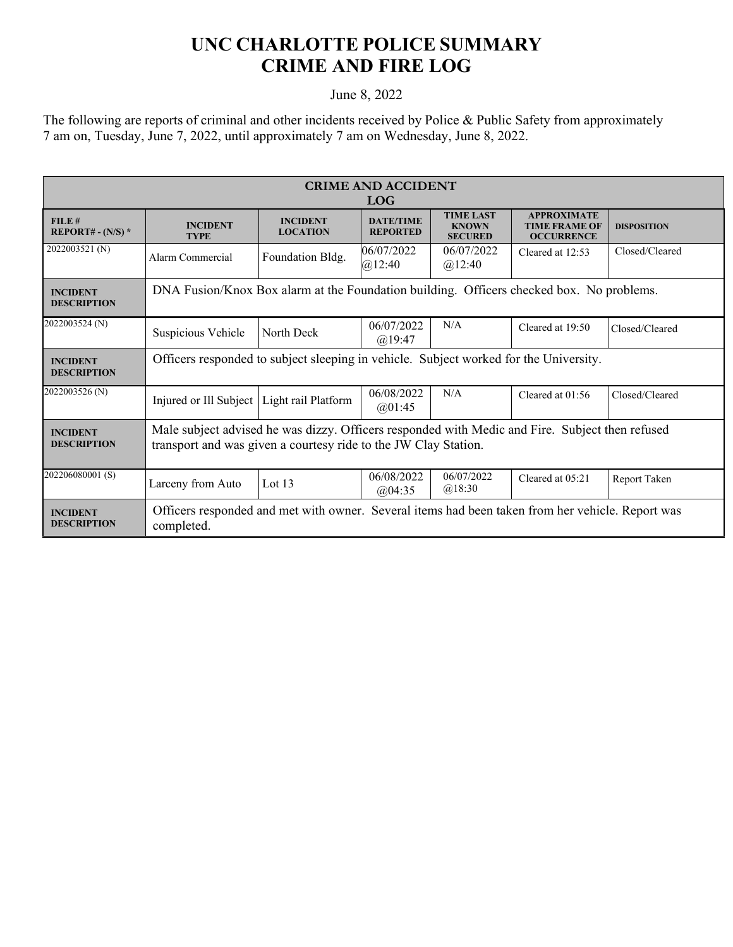## **UNC CHARLOTTE POLICE SUMMARY CRIME AND FIRE LOG**

## June 8, 2022

The following are reports of criminal and other incidents received by Police & Public Safety from approximately 7 am on, Tuesday, June 7, 2022, until approximately 7 am on Wednesday, June 8, 2022.

| <b>CRIME AND ACCIDENT</b><br><b>LOG</b> |                                                                                                                                                                    |                                    |                                     |                                                    |                                                                 |                    |  |
|-----------------------------------------|--------------------------------------------------------------------------------------------------------------------------------------------------------------------|------------------------------------|-------------------------------------|----------------------------------------------------|-----------------------------------------------------------------|--------------------|--|
| FILE#<br>$REPORT# - (N/S) *$            | <b>INCIDENT</b><br><b>TYPE</b>                                                                                                                                     | <b>INCIDENT</b><br><b>LOCATION</b> | <b>DATE/TIME</b><br><b>REPORTED</b> | <b>TIME LAST</b><br><b>KNOWN</b><br><b>SECURED</b> | <b>APPROXIMATE</b><br><b>TIME FRAME OF</b><br><b>OCCURRENCE</b> | <b>DISPOSITION</b> |  |
| 2022003521 (N)                          | Alarm Commercial                                                                                                                                                   | Foundation Bldg.                   | 06/07/2022<br>@12:40                | 06/07/2022<br>@12:40                               | Cleared at 12:53                                                | Closed/Cleared     |  |
| <b>INCIDENT</b><br><b>DESCRIPTION</b>   | DNA Fusion/Knox Box alarm at the Foundation building. Officers checked box. No problems.                                                                           |                                    |                                     |                                                    |                                                                 |                    |  |
| 2022003524 (N)                          | Suspicious Vehicle                                                                                                                                                 | North Deck                         | 06/07/2022<br>$(a)$ 19:47           | N/A                                                | Cleared at 19:50                                                | Closed/Cleared     |  |
| <b>INCIDENT</b><br><b>DESCRIPTION</b>   | Officers responded to subject sleeping in vehicle. Subject worked for the University.                                                                              |                                    |                                     |                                                    |                                                                 |                    |  |
| 2022003526 (N)                          | Injured or Ill Subject   Light rail Platform                                                                                                                       |                                    | 06/08/2022<br>(a)01:45              | N/A                                                | Cleared at 01:56                                                | Closed/Cleared     |  |
| <b>INCIDENT</b><br><b>DESCRIPTION</b>   | Male subject advised he was dizzy. Officers responded with Medic and Fire. Subject then refused<br>transport and was given a courtesy ride to the JW Clay Station. |                                    |                                     |                                                    |                                                                 |                    |  |
| 202206080001(S)                         | Larceny from Auto                                                                                                                                                  | Lot 13                             | 06/08/2022<br>@04:35                | 06/07/2022<br>@18:30                               | Cleared at 05:21                                                | Report Taken       |  |
| <b>INCIDENT</b><br><b>DESCRIPTION</b>   | Officers responded and met with owner. Several items had been taken from her vehicle. Report was<br>completed.                                                     |                                    |                                     |                                                    |                                                                 |                    |  |